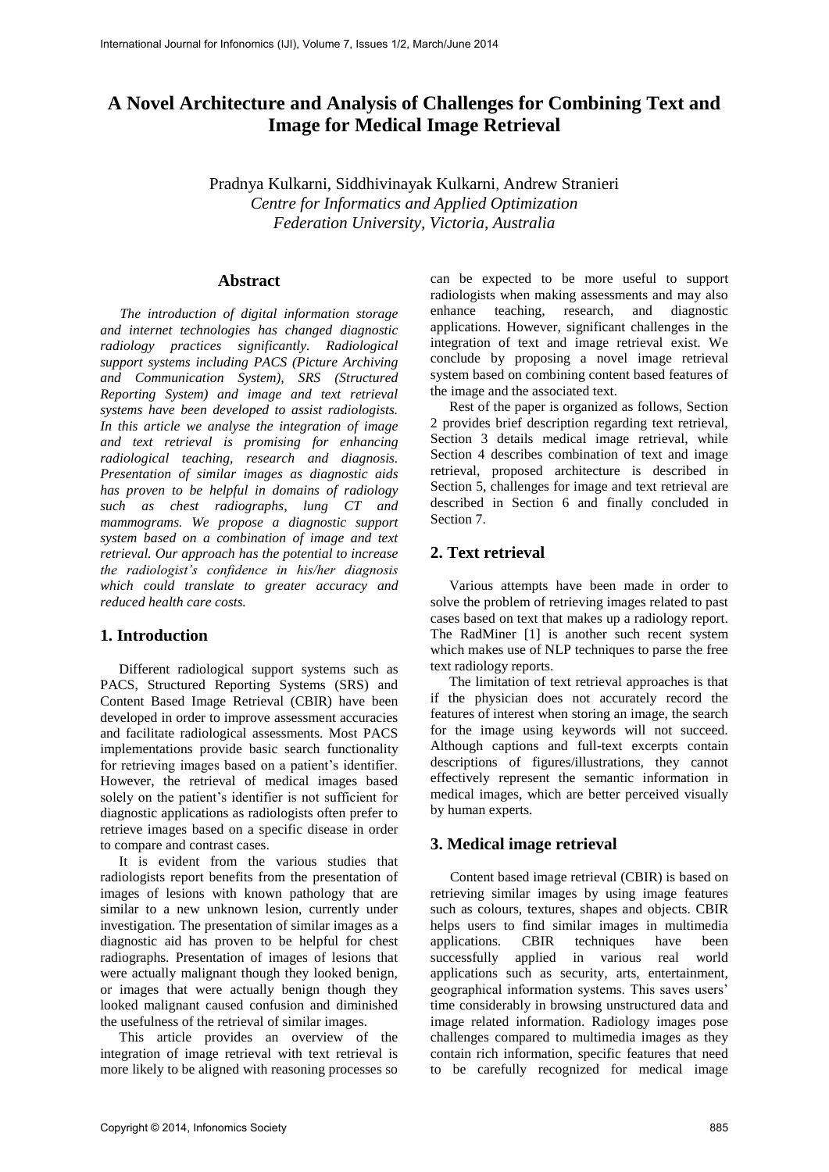# **A Novel Architecture and Analysis of Challenges for Combining Text and Image for Medical Image Retrieval**

Pradnya Kulkarni, Siddhivinayak Kulkarni, Andrew Stranieri *Centre for Informatics and Applied Optimization Federation University, Victoria, Australia* 

## **Abstract**

*The introduction of digital information storage and internet technologies has changed diagnostic radiology practices significantly. Radiological support systems including PACS (Picture Archiving and Communication System), SRS (Structured Reporting System) and image and text retrieval systems have been developed to assist radiologists. In this article we analyse the integration of image and text retrieval is promising for enhancing radiological teaching, research and diagnosis. Presentation of similar images as diagnostic aids has proven to be helpful in domains of radiology such as chest radiographs, lung CT and mammograms. We propose a diagnostic support system based on a combination of image and text retrieval. Our approach has the potential to increase the radiologist's confidence in his/her diagnosis which could translate to greater accuracy and reduced health care costs.* 

## **1. Introduction**

Different radiological support systems such as PACS, Structured Reporting Systems (SRS) and Content Based Image Retrieval (CBIR) have been developed in order to improve assessment accuracies and facilitate radiological assessments. Most PACS implementations provide basic search functionality for retrieving images based on a patient's identifier. However, the retrieval of medical images based solely on the patient's identifier is not sufficient for diagnostic applications as radiologists often prefer to retrieve images based on a specific disease in order to compare and contrast cases.

It is evident from the various studies that radiologists report benefits from the presentation of images of lesions with known pathology that are similar to a new unknown lesion, currently under investigation. The presentation of similar images as a diagnostic aid has proven to be helpful for chest radiographs. Presentation of images of lesions that were actually malignant though they looked benign, or images that were actually benign though they looked malignant caused confusion and diminished the usefulness of the retrieval of similar images.

This article provides an overview of the integration of image retrieval with text retrieval is more likely to be aligned with reasoning processes so

can be expected to be more useful to support radiologists when making assessments and may also enhance teaching, research, and diagnostic applications. However, significant challenges in the integration of text and image retrieval exist. We conclude by proposing a novel image retrieval system based on combining content based features of the image and the associated text.

Rest of the paper is organized as follows, Section 2 provides brief description regarding text retrieval, Section 3 details medical image retrieval, while Section 4 describes combination of text and image retrieval, proposed architecture is described in Section 5, challenges for image and text retrieval are described in Section 6 and finally concluded in Section 7.

## **2. Text retrieval**

Various attempts have been made in order to solve the problem of retrieving images related to past cases based on text that makes up a radiology report. The RadMiner [1] is another such recent system which makes use of NLP techniques to parse the free text radiology reports.

The limitation of text retrieval approaches is that if the physician does not accurately record the features of interest when storing an image, the search for the image using keywords will not succeed. Although captions and full-text excerpts contain descriptions of figures/illustrations, they cannot effectively represent the semantic information in medical images, which are better perceived visually by human experts.

## **3. Medical image retrieval**

Content based image retrieval (CBIR) is based on retrieving similar images by using image features such as colours, textures, shapes and objects. CBIR helps users to find similar images in multimedia applications. CBIR techniques have been successfully applied in various real world applications such as security, arts, entertainment, geographical information systems. This saves users' time considerably in browsing unstructured data and image related information. Radiology images pose challenges compared to multimedia images as they contain rich information, specific features that need to be carefully recognized for medical image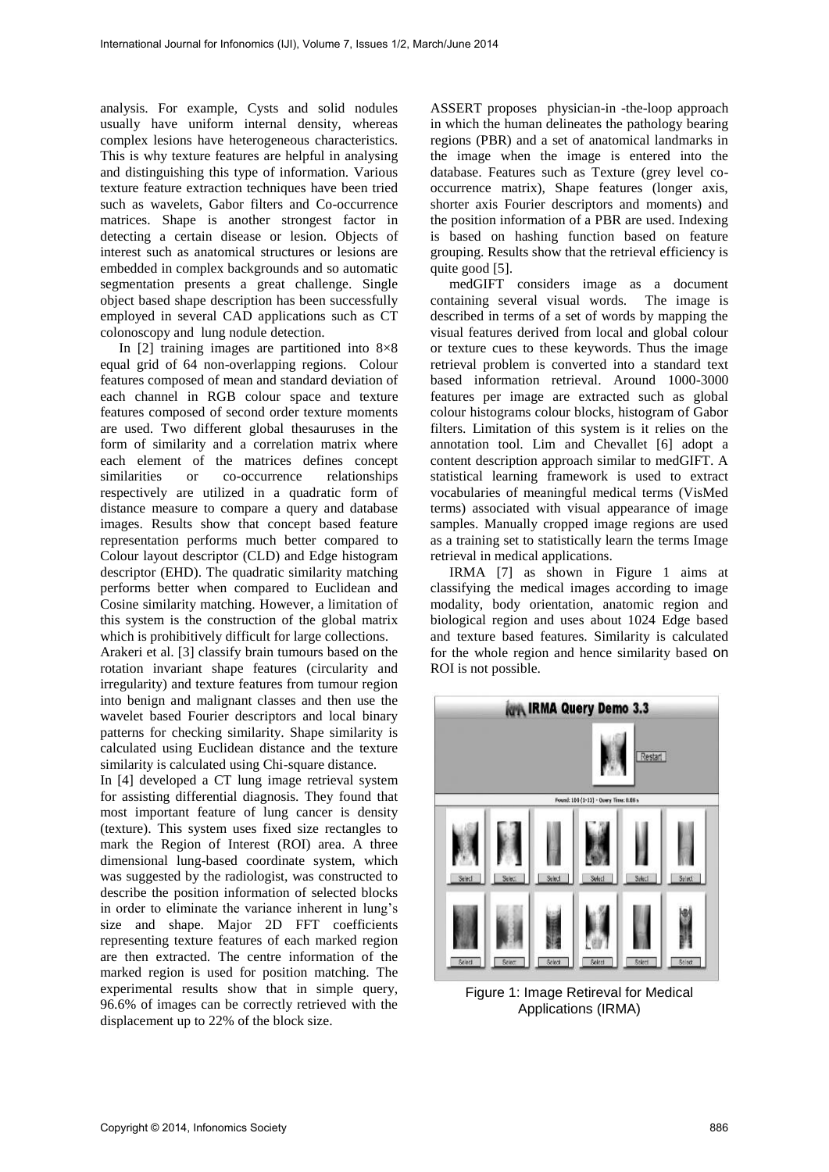analysis. For example, Cysts and solid nodules usually have uniform internal density, whereas complex lesions have heterogeneous characteristics. This is why texture features are helpful in analysing and distinguishing this type of information. Various texture feature extraction techniques have been tried such as wavelets, Gabor filters and Co-occurrence matrices. Shape is another strongest factor in detecting a certain disease or lesion. Objects of interest such as anatomical structures or lesions are embedded in complex backgrounds and so automatic segmentation presents a great challenge. Single object based shape description has been successfully employed in several CAD applications such as CT colonoscopy and lung nodule detection.

In  $[2]$  training images are partitioned into  $8\times8$ equal grid of 64 non-overlapping regions. Colour features composed of mean and standard deviation of each channel in RGB colour space and texture features composed of second order texture moments are used. Two different global thesauruses in the form of similarity and a correlation matrix where each element of the matrices defines concept similarities or co-occurrence relationships respectively are utilized in a quadratic form of distance measure to compare a query and database images. Results show that concept based feature representation performs much better compared to Colour layout descriptor (CLD) and Edge histogram descriptor (EHD). The quadratic similarity matching performs better when compared to Euclidean and Cosine similarity matching. However, a limitation of this system is the construction of the global matrix which is prohibitively difficult for large collections.

Arakeri et al. [3] classify brain tumours based on the rotation invariant shape features (circularity and irregularity) and texture features from tumour region into benign and malignant classes and then use the wavelet based Fourier descriptors and local binary patterns for checking similarity. Shape similarity is calculated using Euclidean distance and the texture similarity is calculated using Chi-square distance.

In [4] developed a CT lung image retrieval system for assisting differential diagnosis. They found that most important feature of lung cancer is density (texture). This system uses fixed size rectangles to mark the Region of Interest (ROI) area. A three dimensional lung-based coordinate system, which was suggested by the radiologist, was constructed to describe the position information of selected blocks in order to eliminate the variance inherent in lung's size and shape. Major 2D FFT coefficients representing texture features of each marked region are then extracted. The centre information of the marked region is used for position matching. The experimental results show that in simple query, 96.6% of images can be correctly retrieved with the displacement up to 22% of the block size.

ASSERT proposes physician-in -the-loop approach in which the human delineates the pathology bearing regions (PBR) and a set of anatomical landmarks in the image when the image is entered into the database. Features such as Texture (grey level cooccurrence matrix), Shape features (longer axis, shorter axis Fourier descriptors and moments) and the position information of a PBR are used. Indexing is based on hashing function based on feature grouping. Results show that the retrieval efficiency is quite good [5].

medGIFT considers image as a document containing several visual words. The image is described in terms of a set of words by mapping the visual features derived from local and global colour or texture cues to these keywords. Thus the image retrieval problem is converted into a standard text based information retrieval. Around 1000-3000 features per image are extracted such as global colour histograms colour blocks, histogram of Gabor filters. Limitation of this system is it relies on the annotation tool. Lim and Chevallet [6] adopt a content description approach similar to medGIFT. A statistical learning framework is used to extract vocabularies of meaningful medical terms (VisMed terms) associated with visual appearance of image samples. Manually cropped image regions are used as a training set to statistically learn the terms Image retrieval in medical applications.

IRMA [7] as shown in Figure 1 aims at classifying the medical images according to image modality, body orientation, anatomic region and biological region and uses about 1024 Edge based and texture based features. Similarity is calculated for the whole region and hence similarity based on ROI is not possible.



Figure 1: Image Retireval for Medical Applications (IRMA)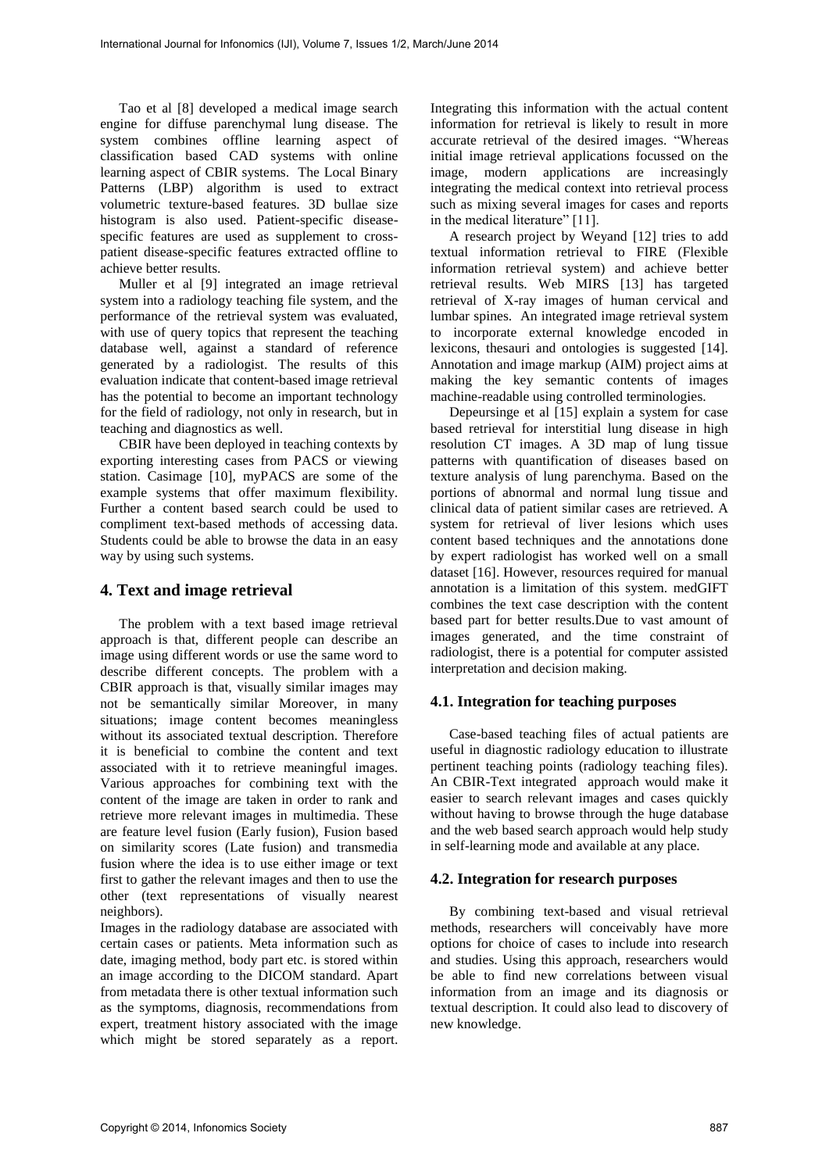Tao et al [8] developed a medical image search engine for diffuse parenchymal lung disease. The system combines offline learning aspect of classification based CAD systems with online learning aspect of CBIR systems. The Local Binary Patterns (LBP) algorithm is used to extract volumetric texture-based features. 3D bullae size histogram is also used. Patient-specific diseasespecific features are used as supplement to crosspatient disease-specific features extracted offline to achieve better results.

Muller et al [9] integrated an image retrieval system into a radiology teaching file system, and the performance of the retrieval system was evaluated, with use of query topics that represent the teaching database well, against a standard of reference generated by a radiologist. The results of this evaluation indicate that content-based image retrieval has the potential to become an important technology for the field of radiology, not only in research, but in teaching and diagnostics as well.

CBIR have been deployed in teaching contexts by exporting interesting cases from PACS or viewing station. Casimage [10], myPACS are some of the example systems that offer maximum flexibility. Further a content based search could be used to compliment text-based methods of accessing data. Students could be able to browse the data in an easy way by using such systems.

## **4. Text and image retrieval**

The problem with a text based image retrieval approach is that, different people can describe an image using different words or use the same word to describe different concepts. The problem with a CBIR approach is that, visually similar images may not be semantically similar Moreover, in many situations; image content becomes meaningless without its associated textual description. Therefore it is beneficial to combine the content and text associated with it to retrieve meaningful images. Various approaches for combining text with the content of the image are taken in order to rank and retrieve more relevant images in multimedia. These are feature level fusion (Early fusion), Fusion based on similarity scores (Late fusion) and transmedia fusion where the idea is to use either image or text first to gather the relevant images and then to use the other (text representations of visually nearest neighbors).

Images in the radiology database are associated with certain cases or patients. Meta information such as date, imaging method, body part etc. is stored within an image according to the DICOM standard. Apart from metadata there is other textual information such as the symptoms, diagnosis, recommendations from expert, treatment history associated with the image which might be stored separately as a report.

Integrating this information with the actual content information for retrieval is likely to result in more accurate retrieval of the desired images. "Whereas initial image retrieval applications focussed on the image, modern applications are increasingly integrating the medical context into retrieval process such as mixing several images for cases and reports in the medical literature" [11].

A research project by Weyand [12] tries to add textual information retrieval to FIRE (Flexible information retrieval system) and achieve better retrieval results. Web MIRS [13] has targeted retrieval of X-ray images of human cervical and lumbar spines. An integrated image retrieval system to incorporate external knowledge encoded in lexicons, thesauri and ontologies is suggested [14]. Annotation and image markup (AIM) project aims at making the key semantic contents of images machine-readable using controlled terminologies.

Depeursinge et al [15] explain a system for case based retrieval for interstitial lung disease in high resolution CT images. A 3D map of lung tissue patterns with quantification of diseases based on texture analysis of lung parenchyma. Based on the portions of abnormal and normal lung tissue and clinical data of patient similar cases are retrieved. A system for retrieval of liver lesions which uses content based techniques and the annotations done by expert radiologist has worked well on a small dataset [16]. However, resources required for manual annotation is a limitation of this system. medGIFT combines the text case description with the content based part for better results.Due to vast amount of images generated, and the time constraint of radiologist, there is a potential for computer assisted interpretation and decision making.

## **4.1. Integration for teaching purposes**

Case-based teaching files of actual patients are useful in diagnostic radiology education to illustrate pertinent teaching points (radiology teaching files). An CBIR-Text integrated approach would make it easier to search relevant images and cases quickly without having to browse through the huge database and the web based search approach would help study in self-learning mode and available at any place.

## **4.2. Integration for research purposes**

By combining text-based and visual retrieval methods, researchers will conceivably have more options for choice of cases to include into research and studies. Using this approach, researchers would be able to find new correlations between visual information from an image and its diagnosis or textual description. It could also lead to discovery of new knowledge.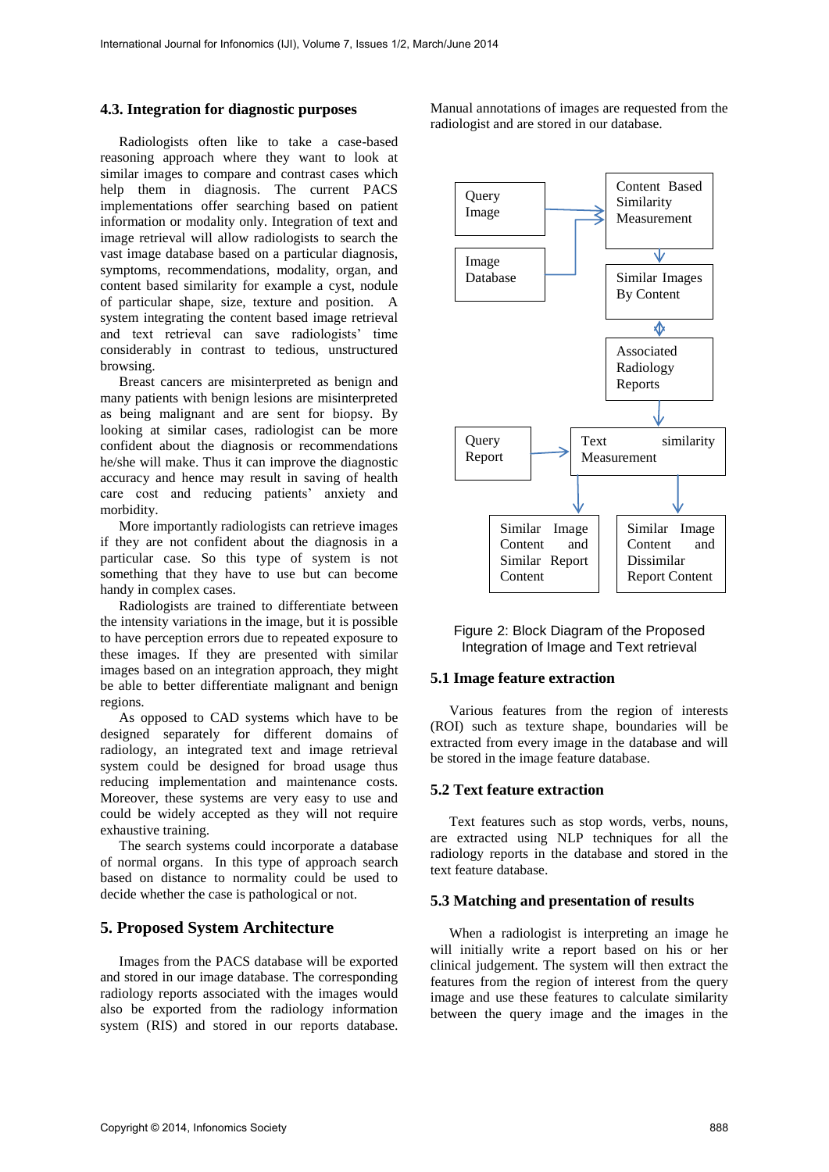#### **4.3. Integration for diagnostic purposes**

Radiologists often like to take a case-based reasoning approach where they want to look at similar images to compare and contrast cases which help them in diagnosis. The current PACS implementations offer searching based on patient information or modality only. Integration of text and image retrieval will allow radiologists to search the vast image database based on a particular diagnosis, symptoms, recommendations, modality, organ, and content based similarity for example a cyst, nodule of particular shape, size, texture and position. A system integrating the content based image retrieval and text retrieval can save radiologists' time considerably in contrast to tedious, unstructured browsing.

Breast cancers are misinterpreted as benign and many patients with benign lesions are misinterpreted as being malignant and are sent for biopsy. By looking at similar cases, radiologist can be more confident about the diagnosis or recommendations he/she will make. Thus it can improve the diagnostic accuracy and hence may result in saving of health care cost and reducing patients' anxiety and morbidity.

More importantly radiologists can retrieve images if they are not confident about the diagnosis in a particular case. So this type of system is not something that they have to use but can become handy in complex cases.

Radiologists are trained to differentiate between the intensity variations in the image, but it is possible to have perception errors due to repeated exposure to these images. If they are presented with similar images based on an integration approach, they might be able to better differentiate malignant and benign regions.

As opposed to CAD systems which have to be designed separately for different domains of radiology, an integrated text and image retrieval system could be designed for broad usage thus reducing implementation and maintenance costs. Moreover, these systems are very easy to use and could be widely accepted as they will not require exhaustive training.

The search systems could incorporate a database of normal organs. In this type of approach search based on distance to normality could be used to decide whether the case is pathological or not.

## **5. Proposed System Architecture**

Images from the PACS database will be exported and stored in our image database. The corresponding radiology reports associated with the images would also be exported from the radiology information system (RIS) and stored in our reports database.

Manual annotations of images are requested from the radiologist and are stored in our database.



Figure 2: Block Diagram of the Proposed Integration of Image and Text retrieval

#### **5.1 Image feature extraction**

Various features from the region of interests (ROI) such as texture shape, boundaries will be extracted from every image in the database and will be stored in the image feature database.

#### **5.2 Text feature extraction**

Text features such as stop words, verbs, nouns, are extracted using NLP techniques for all the radiology reports in the database and stored in the text feature database.

#### **5.3 Matching and presentation of results**

When a radiologist is interpreting an image he will initially write a report based on his or her clinical judgement. The system will then extract the features from the region of interest from the query image and use these features to calculate similarity between the query image and the images in the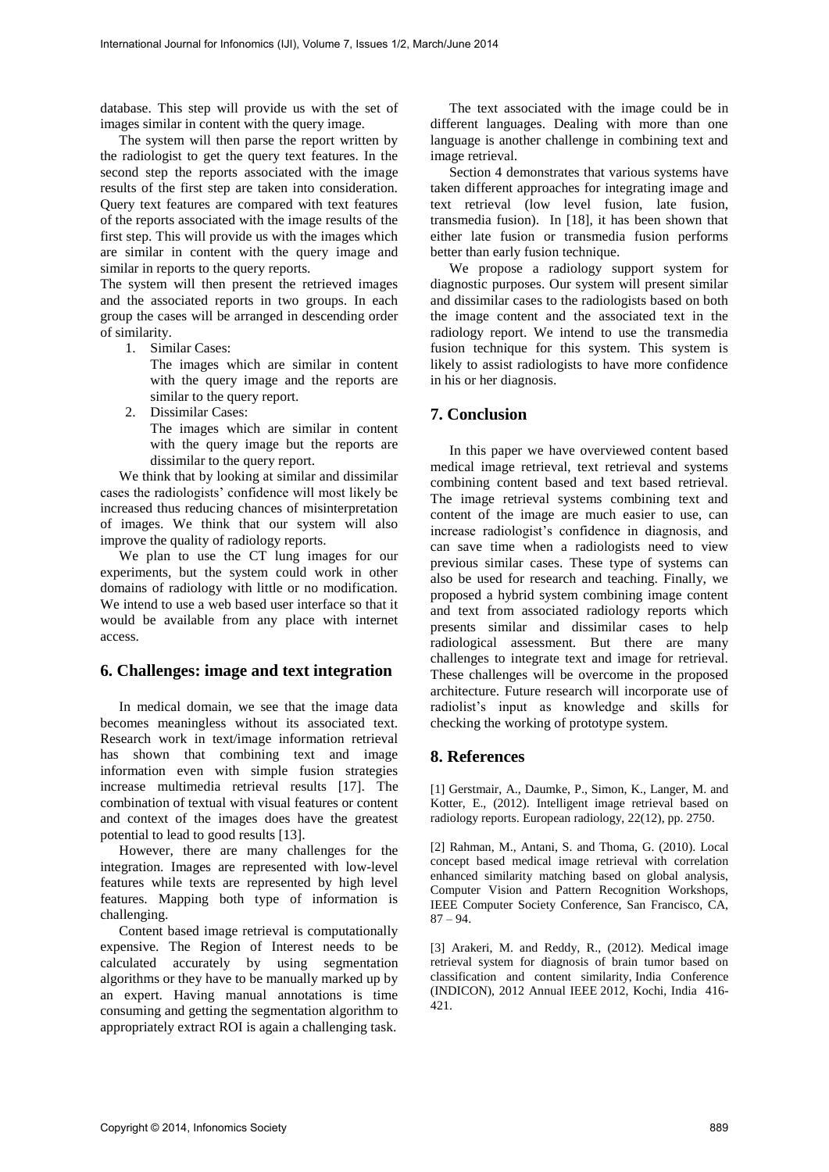database. This step will provide us with the set of images similar in content with the query image.

The system will then parse the report written by the radiologist to get the query text features. In the second step the reports associated with the image results of the first step are taken into consideration. Query text features are compared with text features of the reports associated with the image results of the first step. This will provide us with the images which are similar in content with the query image and similar in reports to the query reports.

The system will then present the retrieved images and the associated reports in two groups. In each group the cases will be arranged in descending order of similarity.

1. Similar Cases:

The images which are similar in content with the query image and the reports are similar to the query report.

2. Dissimilar Cases: The images which are similar in content with the query image but the reports are dissimilar to the query report.

We think that by looking at similar and dissimilar cases the radiologists' confidence will most likely be increased thus reducing chances of misinterpretation of images. We think that our system will also improve the quality of radiology reports.

We plan to use the CT lung images for our experiments, but the system could work in other domains of radiology with little or no modification. We intend to use a web based user interface so that it would be available from any place with internet access.

## **6. Challenges: image and text integration**

In medical domain, we see that the image data becomes meaningless without its associated text. Research work in text/image information retrieval has shown that combining text and image information even with simple fusion strategies increase multimedia retrieval results [17]. The combination of textual with visual features or content and context of the images does have the greatest potential to lead to good results [13].

However, there are many challenges for the integration. Images are represented with low-level features while texts are represented by high level features. Mapping both type of information is challenging.

Content based image retrieval is computationally expensive. The Region of Interest needs to be calculated accurately by using segmentation algorithms or they have to be manually marked up by an expert. Having manual annotations is time consuming and getting the segmentation algorithm to appropriately extract ROI is again a challenging task.

The text associated with the image could be in different languages. Dealing with more than one language is another challenge in combining text and image retrieval.

Section 4 demonstrates that various systems have taken different approaches for integrating image and text retrieval (low level fusion, late fusion, transmedia fusion). In [18], it has been shown that either late fusion or transmedia fusion performs better than early fusion technique.

We propose a radiology support system for diagnostic purposes. Our system will present similar and dissimilar cases to the radiologists based on both the image content and the associated text in the radiology report. We intend to use the transmedia fusion technique for this system. This system is likely to assist radiologists to have more confidence in his or her diagnosis.

# **7. Conclusion**

In this paper we have overviewed content based medical image retrieval, text retrieval and systems combining content based and text based retrieval. The image retrieval systems combining text and content of the image are much easier to use, can increase radiologist's confidence in diagnosis, and can save time when a radiologists need to view previous similar cases. These type of systems can also be used for research and teaching. Finally, we proposed a hybrid system combining image content and text from associated radiology reports which presents similar and dissimilar cases to help radiological assessment. But there are many challenges to integrate text and image for retrieval. These challenges will be overcome in the proposed architecture. Future research will incorporate use of radiolist's input as knowledge and skills for checking the working of prototype system.

## **8. References**

[1] Gerstmair, A., Daumke, P., Simon, K., Langer, M. and Kotter, E., (2012). Intelligent image retrieval based on radiology reports. European radiology, 22(12), pp. 2750.

[2] Rahman, M., Antani, S. and Thoma, G. (2010). Local concept based medical image retrieval with correlation enhanced similarity matching based on global analysis, Computer Vision and Pattern Recognition Workshops, IEEE Computer Society Conference, San Francisco, CA, 87 – 94.

[3] Arakeri, M. and Reddy, R., (2012). Medical image retrieval system for diagnosis of brain tumor based on classification and content similarity, India Conference (INDICON), 2012 Annual IEEE 2012, Kochi, India 416- 421.